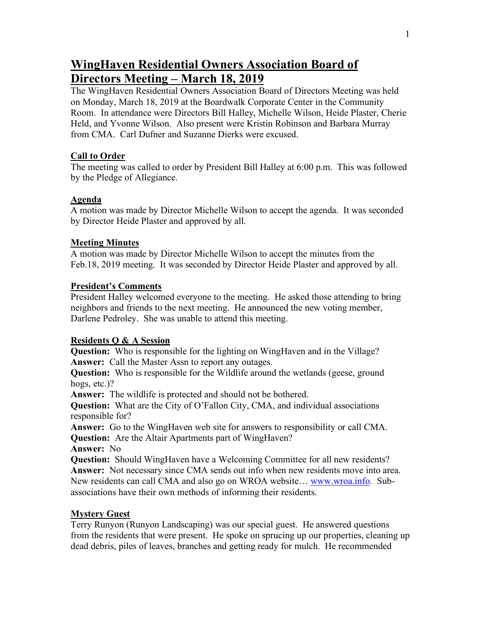# **WingHaven Residential Owners Association Board of Directors Meeting – March 18, 2019**

The WingHaven Residential Owners Association Board of Directors Meeting was held on Monday, March 18, 2019 at the Boardwalk Corporate Center in the Community Room. In attendance were Directors Bill Halley, Michelle Wilson, Heide Plaster, Cherie Held, and Yvonne Wilson. Also present were Kristin Robinson and Barbara Murray from CMA. Carl Dufner and Suzanne Dierks were excused.

## **Call to Order**

The meeting was called to order by President Bill Halley at 6:00 p.m. This was followed by the Pledge of Allegiance.

## **Agenda**

A motion was made by Director Michelle Wilson to accept the agenda. It was seconded by Director Heide Plaster and approved by all.

# **Meeting Minutes**

A motion was made by Director Michelle Wilson to accept the minutes from the Feb.18, 2019 meeting. It was seconded by Director Heide Plaster and approved by all.

## **President's Comments**

President Halley welcomed everyone to the meeting. He asked those attending to bring neighbors and friends to the next meeting. He announced the new voting member, Darlene Pedroley. She was unable to attend this meeting.

# **Residents Q & A Session**

**Question:** Who is responsible for the lighting on WingHaven and in the Village? **Answer:** Call the Master Assn to report any outages.

**Question:** Who is responsible for the Wildlife around the wetlands (geese, ground hogs, etc.)?

**Answer:** The wildlife is protected and should not be bothered.

**Question:** What are the City of O'Fallon City, CMA, and individual associations responsible for?

**Answer:** Go to the WingHaven web site for answers to responsibility or call CMA. **Question:** Are the Altair Apartments part of WingHaven?

**Answer:** No

**Question:** Should WingHaven have a Welcoming Committee for all new residents? **Answer:** Not necessary since CMA sends out info when new residents move into area. New residents can call CMA and also go on WROA website… www.wroa.info. Subassociations have their own methods of informing their residents.

# **Mystery Guest**

Terry Runyon (Runyon Landscaping) was our special guest. He answered questions from the residents that were present. He spoke on sprucing up our properties, cleaning up dead debris, piles of leaves, branches and getting ready for mulch. He recommended